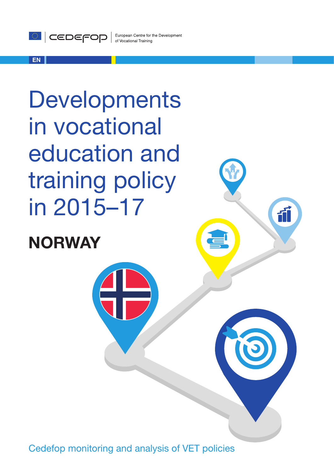

#### **EN**

**Developments** in vocational education and training policy in 2015–17

# **NORWAY**

Cedefop monitoring and analysis of VET policies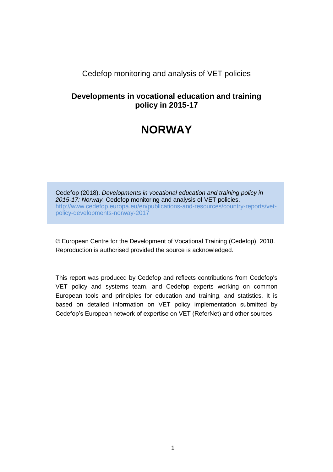### Cedefop monitoring and analysis of VET policies

### **Developments in vocational education and training policy in 2015-17**

## **NORWAY**

Cedefop (2018). *Developments in vocational education and training policy in 2015-17: Norway.* Cedefop monitoring and analysis of VET policies. [http://www.cedefop.europa.eu/en/publications-and-resources/country-reports/vet](http://www.cedefop.europa.eu/en/publications-and-resources/country-reports/vet-policy-developments-norway)[policy-developments-norway-](http://www.cedefop.europa.eu/en/publications-and-resources/country-reports/vet-policy-developments-norway)2017

© European Centre for the Development of Vocational Training (Cedefop), 2018. Reproduction is authorised provided the source is acknowledged.

This report was produced by Cedefop and reflects contributions from Cedefop's VET policy and systems team, and Cedefop experts working on common European tools and principles for education and training, and statistics. It is based on detailed information on VET policy implementation submitted by Cedefop's European network of expertise on VET (ReferNet) and other sources.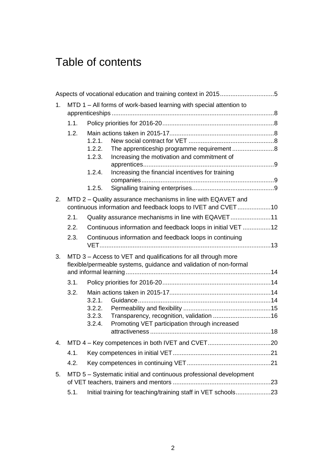# Table of contents

| 1. | MTD 1 - All forms of work-based learning with special attention to                                                           |                                                             |                                                                                                                                    |  |  |  |
|----|------------------------------------------------------------------------------------------------------------------------------|-------------------------------------------------------------|------------------------------------------------------------------------------------------------------------------------------------|--|--|--|
|    | 1.1.                                                                                                                         |                                                             |                                                                                                                                    |  |  |  |
|    | 1.2.                                                                                                                         | 1.2.1.<br>1.2.2.<br>1.2.3.                                  | Increasing the motivation and commitment of                                                                                        |  |  |  |
|    |                                                                                                                              | 1.2.4.                                                      | Increasing the financial incentives for training                                                                                   |  |  |  |
|    |                                                                                                                              | 1.2.5.                                                      |                                                                                                                                    |  |  |  |
| 2. | MTD 2 - Quality assurance mechanisms in line with EQAVET and<br>continuous information and feedback loops to IVET and CVET10 |                                                             |                                                                                                                                    |  |  |  |
|    | 2.1.                                                                                                                         |                                                             | Quality assurance mechanisms in line with EQAVET11                                                                                 |  |  |  |
|    | 2.2.                                                                                                                         | Continuous information and feedback loops in initial VET 12 |                                                                                                                                    |  |  |  |
|    | 2.3.                                                                                                                         |                                                             | Continuous information and feedback loops in continuing                                                                            |  |  |  |
| 3. |                                                                                                                              |                                                             | MTD 3 - Access to VET and qualifications for all through more<br>flexible/permeable systems, guidance and validation of non-formal |  |  |  |
|    | 3.1.                                                                                                                         |                                                             |                                                                                                                                    |  |  |  |
|    | 3.2.                                                                                                                         |                                                             |                                                                                                                                    |  |  |  |
|    |                                                                                                                              | 3.2.1.                                                      |                                                                                                                                    |  |  |  |
|    |                                                                                                                              | 3.2.2.<br>3.2.3.                                            |                                                                                                                                    |  |  |  |
|    |                                                                                                                              | 3.2.4.                                                      | Promoting VET participation through increased                                                                                      |  |  |  |
|    |                                                                                                                              |                                                             |                                                                                                                                    |  |  |  |
|    |                                                                                                                              |                                                             |                                                                                                                                    |  |  |  |
|    | 4.1.                                                                                                                         |                                                             |                                                                                                                                    |  |  |  |
|    | 4.2.                                                                                                                         |                                                             |                                                                                                                                    |  |  |  |
| 5. |                                                                                                                              |                                                             | MTD 5 - Systematic initial and continuous professional development                                                                 |  |  |  |
|    | 5.1.                                                                                                                         |                                                             | Initial training for teaching/training staff in VET schools23                                                                      |  |  |  |
|    |                                                                                                                              |                                                             |                                                                                                                                    |  |  |  |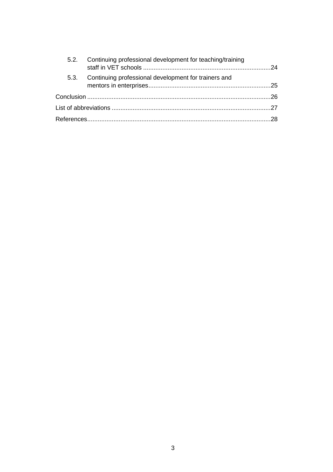| 5.2. | Continuing professional development for teaching/training |  |  |  |
|------|-----------------------------------------------------------|--|--|--|
| 5.3. | Continuing professional development for trainers and      |  |  |  |
|      |                                                           |  |  |  |
|      |                                                           |  |  |  |
|      |                                                           |  |  |  |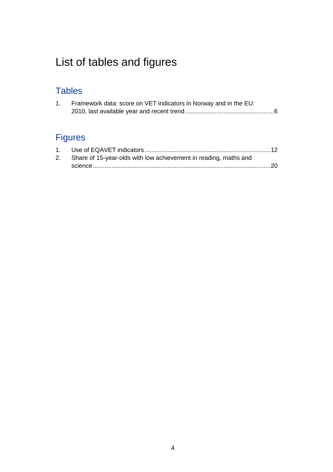# List of tables and figures

## **Tables**

| Framework data: score on VET indicators in Norway and in the EU: |
|------------------------------------------------------------------|
|                                                                  |

## Figures

| 2. Share of 15-year-olds with low achievement in reading, maths and |  |
|---------------------------------------------------------------------|--|
|                                                                     |  |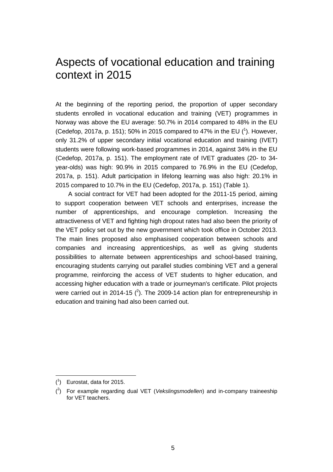## <span id="page-5-0"></span>Aspects of vocational education and training context in 2015

At the beginning of the reporting period, the proportion of upper secondary students enrolled in vocational education and training (VET) programmes in Norway was above the EU average: 50.7% in 2014 compared to 48% in the EU (Cedefop, 2017a, p. 151); 50% in 2015 compared to 47% in the EU  $(1)$ . However, only 31.2% of upper secondary initial vocational education and training (IVET) students were following work-based programmes in 2014, against 34% in the EU (Cedefop, 2017a, p. 151). The employment rate of IVET graduates (20- to 34 year-olds) was high: 90.9% in 2015 compared to 76.9% in the EU (Cedefop, 2017a, p. 151). Adult participation in lifelong learning was also high: 20.1% in 2015 compared to 10.7% in the EU (Cedefop, 2017a, p. 151) (Table 1).

A social contract for VET had been adopted for the 2011-15 period, aiming to support cooperation between VET schools and enterprises, increase the number of apprenticeships, and encourage completion. Increasing the attractiveness of VET and fighting high dropout rates had also been the priority of the VET policy set out by the new government which took office in October 2013. The main lines proposed also emphasised cooperation between schools and companies and increasing apprenticeships, as well as giving students possibilities to alternate between apprenticeships and school-based training, encouraging students carrying out parallel studies combining VET and a general programme, reinforcing the access of VET students to higher education, and accessing higher education with a trade or journeyman's certificate. Pilot projects were carried out in 2014-15  $(^{2})$ . The 2009-14 action plan for entrepreneurship in education and training had also been carried out.

 $\overline{a}$ 

<sup>(</sup> 1 ) Eurostat, data for 2015.

<sup>(</sup> 2 ) For example regarding dual VET (*Vekslingsmodellen*) and in-company traineeship for VET teachers.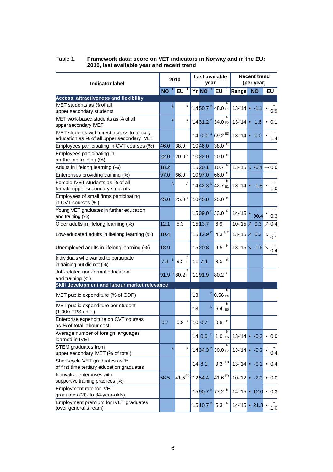<span id="page-6-0"></span>

| Table 1. | Framework data: score on VET indicators in Norway and in the EU: |
|----------|------------------------------------------------------------------|
|          | 2010, last available year and recent trend                       |

| Last available<br>2010<br>year<br><b>Indicator label</b>                                                                                 | <b>Recent trend</b><br>(per year) |  |  |
|------------------------------------------------------------------------------------------------------------------------------------------|-----------------------------------|--|--|
| NO <sup>f</sup> EU <sup>f</sup><br>Yr NO <sup>f</sup> EU <sup>f</sup><br>Range<br><b>NO</b>                                              | EU                                |  |  |
| <b>Access, attractiveness and flexibility</b>                                                                                            |                                   |  |  |
| IVET students as % of all<br>A<br>Α<br>$14\,50.7$ $^{b}$ 48.0 $_{E1}$ 13-14 $\cdot$ -1.1                                                 |                                   |  |  |
| upper secondary students                                                                                                                 | 0.9                               |  |  |
| IVET work-based students as % of all<br>A<br>Α<br>$1431.2b34.0E2$ 13-14 · 1.6                                                            | .0.1                              |  |  |
| upper secondary IVET                                                                                                                     |                                   |  |  |
| IVET students with direct access to tertiary<br>$14$ 0.0 $^{2}$ 69.2 $^{E3}$ 13-14 $\cdot$ 0.0                                           |                                   |  |  |
| education as % of all upper secondary IVET                                                                                               | 1.4                               |  |  |
| 38.0 <sup>e</sup><br>'1046.0<br>38.0 <sup>e</sup><br>46.0<br>Employees participating in CVT courses (%)                                  |                                   |  |  |
| Employees participating in<br>20.0 <sup>e</sup><br>20.0 <sup>e</sup><br>22.0<br>'1022.0                                                  |                                   |  |  |
| on-the-job training (%)                                                                                                                  |                                   |  |  |
| 10.7 <sup>b</sup><br>18.2<br>1520.1<br>$13 - 15 > -0.4 \rightarrow 0.0$<br>Adults in lifelong learning (%)                               |                                   |  |  |
| 66.0 <sup>e</sup><br>66.0e<br>'1097.0<br>97.0<br>Enterprises providing training (%)                                                      |                                   |  |  |
| Female IVET students as % of all<br>A<br>Α                                                                                               |                                   |  |  |
| $1442.3b$ 42.7 E1<br>$13 - 14 - 1.8$<br>female upper secondary students                                                                  | 1.0                               |  |  |
| Employees of small firms participating                                                                                                   |                                   |  |  |
| 25.0 <sup>e</sup><br>45.0<br>1045.0<br>25.0 <sup>e</sup><br>in CVT courses (%)                                                           |                                   |  |  |
| Young VET graduates in further education                                                                                                 |                                   |  |  |
| '15 39.0 <sup>b</sup> 33.0 <sup>b</sup><br>$14 - 15 -$<br>30.4<br>and training (%)                                                       | 0.3                               |  |  |
| 1513.7<br>12.1<br>$10-15$ 2 0.3<br>Older adults in lifelong learning (%)<br>5.3<br>6.9                                                   | 70.4                              |  |  |
| '15 $12.9$ $^{\circ}$<br>4.3 $\mathrm{^{b}}$ $\mathrm{^{c}}$ 13-'15 $\times$ 0.2<br>10.4<br>Low-educated adults in lifelong learning (%) | ↘<br>0.1                          |  |  |
| 9.5 <sup>b</sup><br>13-15 > -1.6 ><br>18.9<br>1520.8<br>Unemployed adults in lifelong learning (%)                                       | 0.4                               |  |  |
| ${\bf e}$<br>Individuals who wanted to participate                                                                                       |                                   |  |  |
| B 9.5 B<br>9.5 <sup>e</sup><br>7.4<br>117.4<br>in training but did not (%)                                                               |                                   |  |  |
| Job-related non-formal education                                                                                                         |                                   |  |  |
| 91.9 80.2 B<br>80.2 <sup>e</sup><br>'1191.9<br>and training (%)                                                                          |                                   |  |  |
| Skill development and labour market relevance                                                                                            |                                   |  |  |
| $b$ 0.56 E4<br>13                                                                                                                        |                                   |  |  |
| IVET public expenditure (% of GDP)                                                                                                       |                                   |  |  |
| b<br>IVET public expenditure per student<br>b<br>13<br>6.4E                                                                              |                                   |  |  |
| (1 000 PPS units)                                                                                                                        |                                   |  |  |
| Enterprise expenditure on CVT courses<br>$0.8°$ 10 0.7<br>$0.8$ $\,^\mathrm{e}$<br>0.7                                                   |                                   |  |  |
| as % of total labour cost                                                                                                                |                                   |  |  |
| b<br>Average number of foreign languages<br>$140.6^{b}$<br>$1.0 \text{ } E_6$ 13-14 - -0.3 - 0.0                                         |                                   |  |  |
| learned in IVET                                                                                                                          |                                   |  |  |
| b<br>STEM graduates from<br>A<br>Α<br>$1434.3b30.0E7$ 13-14 $\cdot$ -0.3 $\cdot$                                                         |                                   |  |  |
| upper secondary IVET (% of total)                                                                                                        | 0.4                               |  |  |
| Short-cycle VET graduates as %<br>$9.3$ $E8$ 13-14 - -0.1<br>148.1                                                                       | $-0.4$                            |  |  |
| of first time tertiary education graduates                                                                                               |                                   |  |  |
| Innovative enterprises with<br>$41.6^{E9}$ 10-12 - -2.0 - 0.0<br>41.5 <sup>E9</sup> 1254.4<br>58.5                                       |                                   |  |  |
| supportive training practices (%)                                                                                                        |                                   |  |  |
| Employment rate for IVET<br>'1590.7 <sup>b</sup> 77.2 <sup>b</sup> 14-'15 • 12.0 • 0.3                                                   |                                   |  |  |
| graduates (20- to 34-year-olds)                                                                                                          |                                   |  |  |
| Employment premium for IVET graduates<br>(over general stream)                                                                           | 1.0                               |  |  |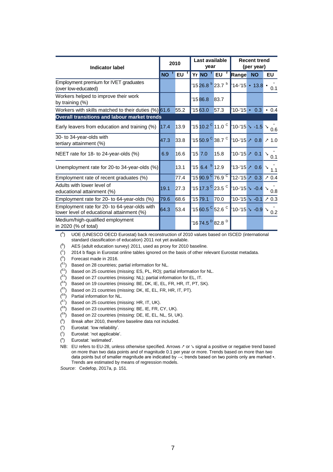| <b>Indicator label</b>                                                                    |           | 2010 |           | Last available<br>year  |                                              |                                     | <b>Recent trend</b><br>(per year)      |          |  |
|-------------------------------------------------------------------------------------------|-----------|------|-----------|-------------------------|----------------------------------------------|-------------------------------------|----------------------------------------|----------|--|
|                                                                                           | <b>NO</b> | EU   |           | Yr NO <sup>f</sup> EU   |                                              | Range                               | <b>NO</b>                              | EU       |  |
| Employment premium for IVET graduates<br>(over low-educated)                              |           |      |           |                         | '1526.8 <sup>b</sup> 23.7 <sup>b</sup>       |                                     | $14 - 15 - 13.8$                       | 0.1      |  |
| Workers helped to improve their work<br>by training $(\%)$                                |           |      | '1586.8   |                         | 83.7                                         |                                     |                                        |          |  |
| Workers with skills matched to their duties (%) 61.6                                      |           | 55.2 | 1563.0    |                         | 57.3                                         |                                     | $10 - 15 - 0.3$                        | 0.4      |  |
| Overall transitions and labour market trends                                              |           |      |           |                         |                                              |                                     |                                        |          |  |
| Early leavers from education and training (%)                                             | 17.4      | 13.9 |           |                         | $1510.2$ $^{\circ}$ 11.0 $^{\circ}$          | $10-15$ $\sqrt{-1.5}$ $\sqrt{-1.5}$ |                                        | 0.6      |  |
| 30- to 34-year-olds with<br>tertiary attainment (%)                                       | 47.3      | 33.8 |           |                         | $^{\sf 115}$ 50.9 $^{\sf C}$ 38.7 $^{\sf C}$ |                                     | $10 - 15 \times 0.8$                   | 71.0     |  |
| NEET rate for 18- to 24-year-olds (%)                                                     | 6.9       | 16.6 | $'15$ 7.0 |                         | 15.8                                         |                                     | $10-15$ $\geq 0.1$                     | ↘<br>0.1 |  |
| Unemployment rate for 20-to 34-year-olds (%)                                              |           | 13.1 |           | 156.4 <sup>b</sup> 12.9 |                                              |                                     | $13 - 15$ 2 0.6                        | V        |  |
| Employment rate of recent graduates (%)                                                   |           | 77.4 |           |                         | '1590.9 <sup>C</sup> 76.9 <sup>C</sup>       |                                     | $ 12 - 15  \ge 0.3$                    | 70.4     |  |
| Adults with lower level of<br>educational attainment (%)                                  | 19.1      | 27.3 |           |                         | '15 17.3 <sup>C</sup> 23.5 <sup>C</sup>      |                                     | $10-15$ $\sim$ -0.4 $\searrow$ 0.8     |          |  |
| Employment rate for 20- to 64-year-olds (%)                                               | 79.6      | 68.6 | 1579.1    |                         | 70.0                                         |                                     | $10-15$ $\sim$ -0.1 $\geq$ 0.3         |          |  |
| Employment rate for 20- to 64-year-olds with<br>lower level of educational attainment (%) | 64.3      | 53.4 |           |                         | '1560.5 <sup>C</sup> 52.6 <sup>C</sup>       |                                     | $10-15$ $\searrow$ -0.9 $\searrow$ 0.2 |          |  |
| Medium/high-qualified employment<br>in 2020 (% of total)                                  |           |      |           |                         | '1674.5 <sup>D</sup> 82.8 <sup>D</sup>       |                                     |                                        |          |  |

( A ) UOE (UNESCO OECD Eurostat) back reconstruction of 2010 values based on ISCED (international standard classification of education) 2011 not yet available.

( B ) AES (adult education survey) 2011, used as proxy for 2010 baseline.

 ${c}^{\circ}$  2014 b flags in Eurostat online tables ignored on the basis of other relevant Eurostat metadata.

 $($ <sup>D</sup>) Forecast made in 2016.

- $($ <sup>E1</sup>) Based on 28 countries; partial information for NL.
- $($ <sup>E2</sup>) Based on 25 countries (missing: ES, PL, RO); partial information for NL.
- $($ <sup>E3</sup>) Based on 27 countries (missing: NL); partial information for EL, IT.
- $\zeta^{E4}$ ) Based on 19 countries (missing: BE, DK, IE, EL, FR, HR, IT, PT, SK).
- $(5)$  Based on 21 countries (missing: DK, IE, EL, FR, HR, IT, PT).
- $($ <sup>E6</sup>) Partial information for NL.
- $\binom{E7}{}$  Based on 25 countries (missing: HR, IT, UK).
- $($ <sup>E8</sup>) Based on 23 countries (missing: BE, IE, FR, CY, UK).
- (<sup>E9</sup>) Based on 22 countries (missing: DE, IE, EL, NL, SI, UK).
- ( b Break after 2010, therefore baseline data not included.
- ( u ) Eurostat: 'low reliability'.
- $\binom{z}{x}$ ) Eurostat: 'not applicable'.
- $($ <sup>e</sup> ) Eurostat: 'estimated'.
- NB: EU refers to EU-28, unless otherwise specified. Arrows ↗ or ↘ signal a positive or negative trend based
- on more than two data points and of magnitude 0.1 per year or more. Trends based on more than two data points but of smaller magnitude are indicated by →; trends based on two points only are marked •. Trends are estimated by means of regression models.

*Source*: Cedefop, 2017a, p. 151.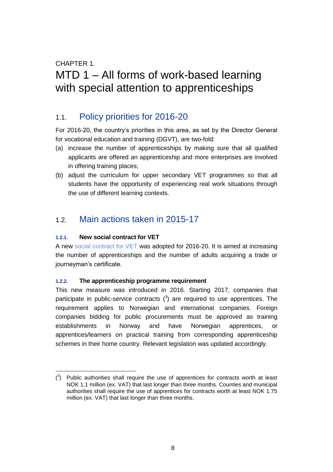### CHAPTER 1.

## <span id="page-8-0"></span>MTD 1 – All forms of work-based learning with special attention to apprenticeships

### <span id="page-8-1"></span>1.1. Policy priorities for 2016-20

For 2016-20, the country's priorities in this area, as set by the Director General for vocational education and training (DGVT), are two-fold:

- (a) increase the number of apprenticeships by making sure that all qualified applicants are offered an apprenticeship and more enterprises are involved in offering training places;
- (b) adjust the curriculum for upper secondary VET programmes so that all students have the opportunity of experiencing real work situations through the use of different learning contexts.

## <span id="page-8-2"></span>1.2. Main actions taken in 2015-17

#### <span id="page-8-3"></span>**1.2.1. New social contract for VET**

A new [social contract for VET](http://www.udir.no/globalassets/samfunnskontrakt-for-flere-lareplasser-2016--2020.pdf) was adopted for 2016-20. It is aimed at increasing the number of apprenticeships and the number of adults acquiring a trade or journeyman's certificate.

#### <span id="page-8-4"></span>**1.2.2. The apprenticeship programme requirement**

This new measure was introduced in 2016. Starting 2017, companies that participate in public-service contracts  $(3)$  are required to use apprentices. The requirement applies to Norwegian and international companies. Foreign companies bidding for public procurements must be approved as training establishments in Norway and have Norwegian apprentices, or apprentices/learners on practical training from corresponding apprenticeship schemes in their home country. Relevant legislation was updated accordingly.

 $(3)$  Public authorities shall require the use of apprentices for contracts worth at least NOK 1.1 million (ex. VAT) that last longer than three months. Counties and municipal authorities shall require the use of apprentices for contracts worth at least NOK 1.75 million (ex. VAT) that last longer than three months.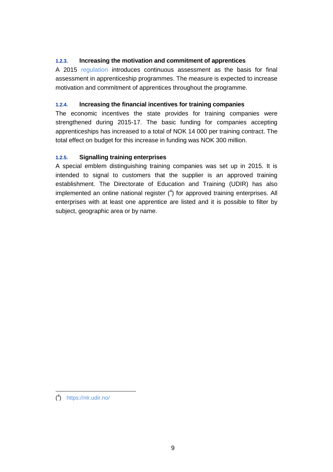#### <span id="page-9-0"></span>**1.2.3. Increasing the motivation and commitment of apprentices**

A 2015 [regulation](https://lovdata.no/dokument/SF/forskrift/2006-06-23-724/KAPITTEL_4-2#KAPITTEL_4-2) introduces continuous assessment as the basis for final assessment in apprenticeship programmes. The measure is expected to increase motivation and commitment of apprentices throughout the programme.

#### <span id="page-9-1"></span>**1.2.4. Increasing the financial incentives for training companies**

The economic incentives the state provides for training companies were strengthened during 2015-17. The basic funding for companies accepting apprenticeships has increased to a total of NOK 14 000 per training contract. The total effect on budget for this increase in funding was NOK 300 million.

#### <span id="page-9-2"></span>**1.2.5. Signalling training enterprises**

A special emblem distinguishing training companies was set up in 2015. It is intended to signal to customers that the supplier is an approved training establishment. The Directorate of Education and Training (UDIR) has also implemented an online national register  $(4)$  for approved training enterprises. All enterprises with at least one apprentice are listed and it is possible to filter by subject, geographic area or by name.

 ( 4 ) <https://nlr.udir.no/>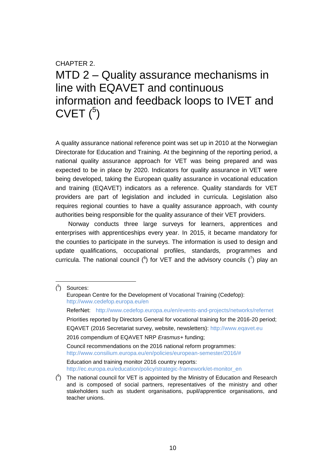## <span id="page-10-0"></span>CHAPTER 2. MTD 2 – Quality assurance mechanisms in line with EQAVET and continuous information and feedback loops to IVET and  $CVET<sup>5</sup>$

A quality assurance national reference point was set up in 2010 at the Norwegian Directorate for Education and Training. At the beginning of the reporting period, a national quality assurance approach for VET was being prepared and was expected to be in place by 2020. Indicators for quality assurance in VET were being developed, taking the European quality assurance in vocational education and training (EQAVET) indicators as a reference. Quality standards for VET providers are part of legislation and included in curricula. Legislation also requires regional counties to have a quality assurance approach, with county authorities being responsible for the quality assurance of their VET providers.

Norway conducts three large surveys for learners, apprentices and enterprises with apprenticeships every year. In 2015, it became mandatory for the counties to participate in the surveys. The information is used to design and update qualifications, occupational profiles, standards, programmes and curricula. The national council ( $^{6}$ ) for VET and the advisory councils ( $^{7}$ ) play an

 $\overline{a}$ 

<sup>(</sup> 5 ) Sources: European Centre for the Development of Vocational Training (Cedefop): <http://www.cedefop.europa.eu/en> ReferNet: <http://www.cedefop.europa.eu/en/events-and-projects/networks/refernet> Priorities reported by Directors General for vocational training for the 2016-20 period; EQAVET (2016 Secretariat survey, website, newsletters): [http://www.eqavet.eu](http://www.eqavet.eu/) 2016 compendium of EQAVET NRP *Erasmus+* funding; Council recommendations on the 2016 national reform programmes: [http://www.consilium.europa.eu/en/policies/european-semester/2016/#](http://www.consilium.europa.eu/en/policies/european-semester/2016/) Education and training monitor 2016 country reports: [http://ec.europa.eu/education/policy/strategic-framework/et-monitor\\_en](http://ec.europa.eu/education/policy/strategic-framework/et-monitor_en)  $(6)$  The national council for VET is appointed by the Ministry of Education and Research

and is composed of social partners, representatives of the ministry and other stakeholders such as student organisations, pupil/apprentice organisations, and teacher unions.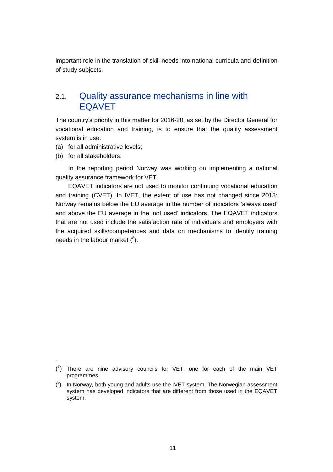<span id="page-11-0"></span>important role in the translation of skill needs into national curricula and definition of study subjects.

## 2.1. Quality assurance mechanisms in line with EQAVET

The country's priority in this matter for 2016-20, as set by the Director General for vocational education and training, is to ensure that the quality assessment system is in use:

- (a) for all administrative levels;
- (b) for all stakeholders.

-

In the reporting period Norway was working on implementing a national quality assurance framework for VET.

EQAVET indicators are not used to monitor continuing vocational education and training (CVET). In IVET, the extent of use has not changed since 2013: Norway remains below the EU average in the number of indicators 'always used' and above the EU average in the 'not used' indicators. The EQAVET indicators that are not used include the satisfaction rate of individuals and employers with the acquired skills/competences and data on mechanisms to identify training needs in the labour market  $(^8)$ .

 $\binom{7}{1}$  There are nine advisory councils for VET, one for each of the main VET programmes.

 $(3)$  In Norway, both young and adults use the IVET system. The Norwegian assessment system has developed indicators that are different from those used in the EQAVET system.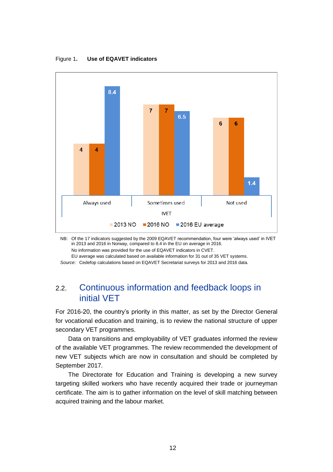

<span id="page-12-1"></span>Figure 1**. Use of EQAVET indicators**

NB: Of the 17 indicators suggested by the 2009 EQAVET recommendation, four were 'always used' in IVET in 2013 and 2016 in Norway, compared to 8.4 in the EU on average in 2016. No information was provided for the use of EQAVET indicators in CVET.

EU average was calculated based on available information for 31 out of 35 VET systems.

<span id="page-12-0"></span>*Source*: Cedefop calculations based on EQAVET Secretariat surveys for 2013 and 2016 data.

### 2.2. Continuous information and feedback loops in initial VET

For 2016-20, the country's priority in this matter, as set by the Director General for vocational education and training, is to review the national structure of upper secondary VET programmes.

Data on transitions and employability of VET graduates informed the review of the available VET programmes. The review recommended the development of new VET subjects which are now in consultation and should be completed by September 2017.

The Directorate for Education and Training is developing a new survey targeting skilled workers who have recently acquired their trade or journeyman certificate. The aim is to gather information on the level of skill matching between acquired training and the labour market.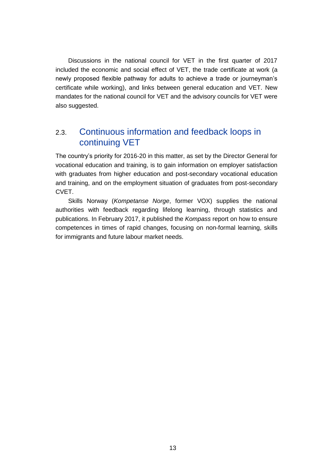Discussions in the national council for VET in the first quarter of 2017 included the economic and social effect of VET, the trade certificate at work (a newly proposed flexible pathway for adults to achieve a trade or journeyman's certificate while working), and links between general education and VET. New mandates for the national council for VET and the advisory councils for VET were also suggested.

## <span id="page-13-0"></span>2.3. Continuous information and feedback loops in continuing VET

The country's priority for 2016-20 in this matter, as set by the Director General for vocational education and training, is to gain information on employer satisfaction with graduates from higher education and post-secondary vocational education and training, and on the employment situation of graduates from post-secondary CVET.

Skills Norway (*Kompetanse Norge*, former VOX) supplies the national authorities with feedback regarding lifelong learning, through statistics and publications. In February 2017, it published the *Kompass* report on how to ensure competences in times of rapid changes, focusing on non-formal learning, skills for immigrants and future labour market needs.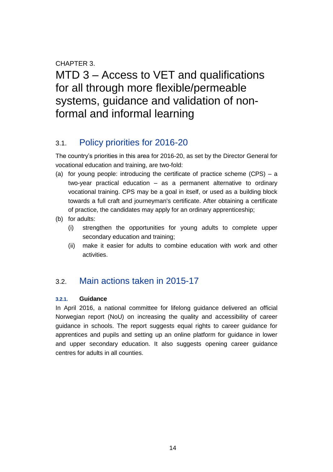### CHAPTER 3.

<span id="page-14-0"></span>MTD 3 – Access to VET and qualifications for all through more flexible/permeable systems, guidance and validation of nonformal and informal learning

## <span id="page-14-1"></span>3.1. Policy priorities for 2016-20

The country's priorities in this area for 2016-20, as set by the Director General for vocational education and training, are two-fold:

- (a) for young people: introducing the certificate of practice scheme (CPS) a two-year practical education – as a permanent alternative to ordinary vocational training. CPS may be a goal in itself, or used as a building block towards a full craft and journeyman's certificate. After obtaining a certificate of practice, the candidates may apply for an ordinary apprenticeship;
- (b) for adults:
	- (i) strengthen the opportunities for young adults to complete upper secondary education and training;
	- (ii) make it easier for adults to combine education with work and other activities.

## <span id="page-14-2"></span>3.2. Main actions taken in 2015-17

#### <span id="page-14-3"></span>**3.2.1. Guidance**

In April 2016, a national committee for lifelong guidance delivered an official Norwegian report (NoU) on increasing the quality and accessibility of career guidance in schools. The report suggests equal rights to career guidance for apprentices and pupils and setting up an online platform for guidance in lower and upper secondary education. It also suggests opening career guidance centres for adults in all counties.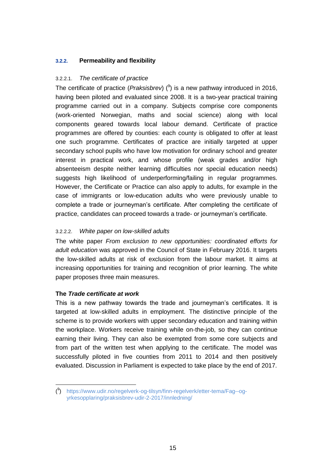#### <span id="page-15-0"></span>**3.2.2. Permeability and flexibility**

#### 3.2.2.1. *The certificate of practice*

The certificate of practice (*Praksisbrev*) ( 9 ) is a new pathway introduced in 2016, having been piloted and evaluated since 2008. It is a two-year practical training programme carried out in a company. Subjects comprise core components (work-oriented Norwegian, maths and social science) along with local components geared towards local labour demand. Certificate of practice programmes are offered by counties: each county is obligated to offer at least one such programme. Certificates of practice are initially targeted at upper secondary school pupils who have low motivation for ordinary school and greater interest in practical work, and whose profile (weak grades and/or high absenteeism despite neither learning difficulties nor special education needs) suggests high likelihood of underperforming/failing in regular programmes. However, the Certificate or Practice can also apply to adults, for example in the case of immigrants or low-education adults who were previously unable to complete a trade or journeyman's certificate. After completing the certificate of practice, candidates can proceed towards a trade- or journeyman's certificate.

#### 3.2.2.2. *White paper on low-skilled adults*

The white paper *From exclusion to new opportunities: coordinated efforts for adult education* was approved in the Council of State in February 2016. It targets the low-skilled adults at risk of exclusion from the labour market. It aims at increasing opportunities for training and recognition of prior learning. The white paper proposes three main measures.

#### **The** *Trade certificate at work*

This is a new pathway towards the trade and journeyman's certificates. It is targeted at low-skilled adults in employment. The distinctive principle of the scheme is to provide workers with upper secondary education and training within the workplace. Workers receive training while on-the-job, so they can continue earning their living. They can also be exempted from some core subjects and from part of the written test when applying to the certificate. The model was successfully piloted in five counties from 2011 to 2014 and then positively evaluated. Discussion in Parliament is expected to take place by the end of 2017.

 ( 9 ) [https://www.udir.no/regelverk-og-tilsyn/finn-regelverk/etter-tema/Fag--og](https://www.udir.no/regelverk-og-tilsyn/finn-regelverk/etter-tema/Fag--og-yrkesopplaring/praksisbrev-udir-2-2017/innledning/)[yrkesopplaring/praksisbrev-udir-2-2017/innledning/](https://www.udir.no/regelverk-og-tilsyn/finn-regelverk/etter-tema/Fag--og-yrkesopplaring/praksisbrev-udir-2-2017/innledning/)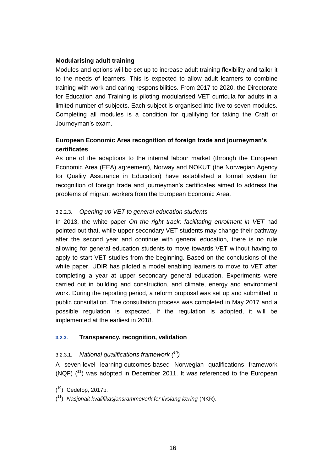#### **Modularising adult training**

Modules and options will be set up to increase adult training flexibility and tailor it to the needs of learners. This is expected to allow adult learners to combine training with work and caring responsibilities. From 2017 to 2020, the Directorate for Education and Training is piloting modularised VET curricula for adults in a limited number of subjects. Each subject is organised into five to seven modules. Completing all modules is a condition for qualifying for taking the Craft or Journeyman's exam.

#### **European Economic Area recognition of foreign trade and journeyman's certificates**

As one of the adaptions to the internal labour market (through the European Economic Area (EEA) agreement), Norway and NOKUT (the Norwegian Agency for Quality Assurance in Education) have established a formal system for recognition of foreign trade and journeyman's certificates aimed to address the problems of migrant workers from the European Economic Area.

#### 3.2.2.3. *Opening up VET to general education students*

In 2013, the white paper *On the right track: facilitating enrolment in VET* had pointed out that, while upper secondary VET students may change their pathway after the second year and continue with general education, there is no rule allowing for general education students to move towards VET without having to apply to start VET studies from the beginning. Based on the conclusions of the white paper, UDIR has piloted a model enabling learners to move to VET after completing a year at upper secondary general education. Experiments were carried out in building and construction, and climate, energy and environment work. During the reporting period, a reform proposal was set up and submitted to public consultation. The consultation process was completed in May 2017 and a possible regulation is expected. If the regulation is adopted, it will be implemented at the earliest in 2018.

#### <span id="page-16-0"></span>**3.2.3. Transparency, recognition, validation**

#### 3.2.3.1. *National qualifications framework ( 10)*

A seven-level learning-outcomes-based Norwegian qualifications framework (NQF)  $(^{11})$  was adopted in December 2011. It was referenced to the European

 $\overline{a}$ 

 $(10)$  Cedefop, 2017b.

<sup>(</sup> <sup>11</sup>) *Nasjonalt kvalifikasjonsrammeverk for livslang læring* (NKR).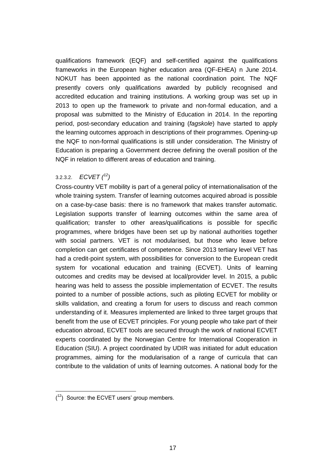qualifications framework (EQF) and self-certified against the qualifications frameworks in the European higher education area (QF-EHEA) n June 2014. NOKUT has been appointed as the national coordination point. The NQF presently covers only qualifications awarded by publicly recognised and accredited education and training institutions. A working group was set up in 2013 to open up the framework to private and non-formal education, and a proposal was submitted to the Ministry of Education in 2014. In the reporting period, post-secondary education and training (*fagskole*) have started to apply the learning outcomes approach in descriptions of their programmes. Opening-up the NQF to non-formal qualifications is still under consideration. The Ministry of Education is preparing a Government decree defining the overall position of the NQF in relation to different areas of education and training.

#### 3.2.3.2. *ECVET ( 12)*

Cross-country VET mobility is part of a general policy of internationalisation of the whole training system. Transfer of learning outcomes acquired abroad is possible on a case-by-case basis: there is no framework that makes transfer automatic. Legislation supports transfer of learning outcomes within the same area of qualification; transfer to other areas/qualifications is possible for specific programmes, where bridges have been set up by national authorities together with social partners. VET is not modularised, but those who leave before completion can get certificates of competence. Since 2013 tertiary level VET has had a credit-point system, with possibilities for conversion to the European credit system for vocational education and training (ECVET). Units of learning outcomes and credits may be devised at local/provider level. In 2015, a public hearing was held to assess the possible implementation of ECVET. The results pointed to a number of possible actions, such as piloting ECVET for mobility or skills validation, and creating a forum for users to discuss and reach common understanding of it. Measures implemented are linked to three target groups that benefit from the use of ECVET principles. For young people who take part of their education abroad, ECVET tools are secured through the work of national ECVET experts coordinated by the Norwegian Centre for International Cooperation in Education (SIU). A project coordinated by UDIR was initiated for adult education programmes, aiming for the modularisation of a range of curricula that can contribute to the validation of units of learning outcomes. A national body for the

  $(1<sup>2</sup>)$  Source: the ECVET users' group members.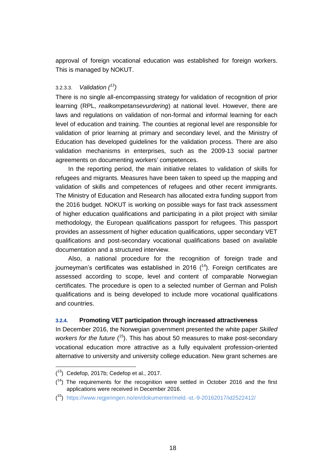approval of foreign vocational education was established for foreign workers. This is managed by NOKUT.

#### 3.2.3.3. *Validation ( 13)*

There is no single all-encompassing strategy for validation of recognition of prior learning (RPL, *realkompetansevurdering*) at national level. However, there are laws and regulations on validation of non-formal and informal learning for each level of education and training. The counties at regional level are responsible for validation of prior learning at primary and secondary level, and the Ministry of Education has developed guidelines for the validation process. There are also validation mechanisms in enterprises, such as the 2009-13 social partner agreements on documenting workers' competences.

In the reporting period, the main initiative relates to validation of skills for refugees and migrants. Measures have been taken to speed up the mapping and validation of skills and competences of refugees and other recent immigrants. The Ministry of Education and Research has allocated extra funding support from the 2016 budget. NOKUT is working on possible ways for fast track assessment of higher education qualifications and participating in a pilot project with similar methodology, the European qualifications passport for refugees. This passport provides an assessment of higher education qualifications, upper secondary VET qualifications and post-secondary vocational qualifications based on available documentation and a structured interview.

Also, a national procedure for the recognition of foreign trade and journeyman's certificates was established in 2016 (<sup>14</sup>). Foreign certificates are assessed according to scope, level and content of comparable Norwegian certificates. The procedure is open to a selected number of German and Polish qualifications and is being developed to include more vocational qualifications and countries.

#### <span id="page-18-0"></span>**3.2.4. Promoting VET participation through increased attractiveness**

In December 2016, the Norwegian government presented the white paper *Skilled*  workers for the future (<sup>15</sup>). This has about 50 measures to make post-secondary vocational education more attractive as a fully equivalent profession-oriented alternative to university and university college education. New grant schemes are

 $(13)$  Cedefop, 2017b; Cedefop et al., 2017.

 $(14)$  The requirements for the recognition were settled in October 2016 and the first applications were received in December 2016.

<sup>(</sup> <sup>15</sup>) <https://www.regjeringen.no/en/dokumenter/meld.-st.-9-20162017/id2522412/>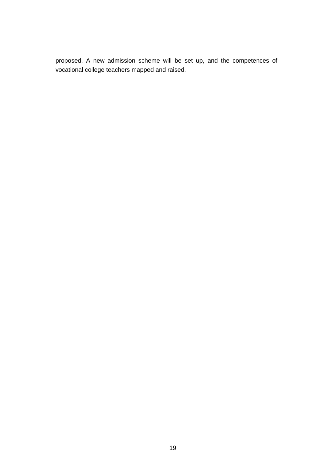proposed. A new admission scheme will be set up, and the competences of vocational college teachers mapped and raised.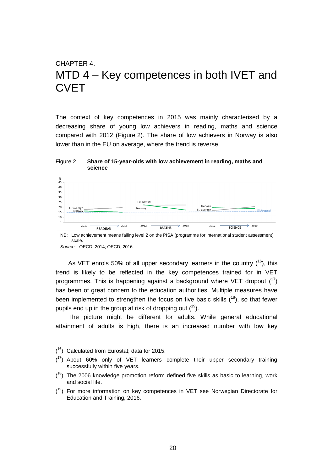## <span id="page-20-0"></span>CHAPTER 4. MTD 4 – Key competences in both IVET and **CVET**

The context of key competences in 2015 was mainly characterised by a decreasing share of young low achievers in reading, maths and science compared with 2012 (Figure 2). The share of low achievers in Norway is also lower than in the EU on average, where the trend is reverse.

<span id="page-20-1"></span>Figure 2. **Share of 15-year-olds with low achievement in reading, maths and science**



NB: Low achievement means failing level 2 on the PISA (programme for international student assessment) scale.

*Source*: OECD, 2014; OECD, 2016.

As VET enrols 50% of all upper secondary learners in the country  $(^{16})$ , this trend is likely to be reflected in the key competences trained for in VET programmes. This is happening against a background where VET dropout  $(17)$ has been of great concern to the education authorities. Multiple measures have been implemented to strengthen the focus on five basic skills  $(^{18})$ , so that fewer pupils end up in the group at risk of dropping out (<sup>19</sup>).

The picture might be different for adults. While general educational attainment of adults is high, there is an increased number with low key

 $(16)$  Calculated from Eurostat; data for 2015.

 $(17)$  About 60% only of VET learners complete their upper secondary training successfully within five years.

 $(18)$  The 2006 knowledge promotion reform defined five skills as basic to learning, work and social life.

 $(19)$  For more information on key competences in VET see Norwegian Directorate for Education and Training, 2016.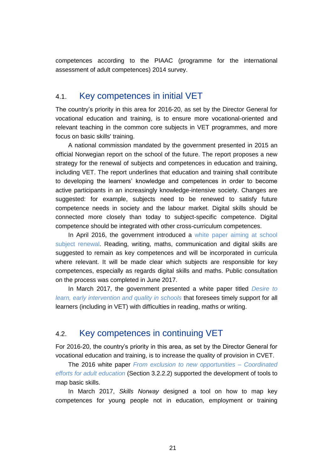<span id="page-21-0"></span>competences according to the PIAAC (programme for the international assessment of adult competences) 2014 survey.

### 4.1. Key competences in initial VET

The country's priority in this area for 2016-20, as set by the Director General for vocational education and training, is to ensure more vocational-oriented and relevant teaching in the common core subjects in VET programmes, and more focus on basic skills' training.

A national commission mandated by the government presented in 2015 an official Norwegian report on the school of the future. The report proposes a new strategy for the renewal of subjects and competences in education and training, including VET. The report underlines that education and training shall contribute to developing the learners' knowledge and competences in order to become active participants in an increasingly knowledge-intensive society. Changes are suggested: for example, subjects need to be renewed to satisfy future competence needs in society and the labour market. Digital skills should be connected more closely than today to subject-specific competence. Digital competence should be integrated with other cross-curriculum competences.

In April 2016, the government introduced a white paper aiming at school [subject renewal.](https://www.regjeringen.no/no/dokumenter/meld.-st.-28-20152016/id2483955/sec4?q=grunnleggende%20ferdigheter#match_20) Reading, writing, maths, communication and digital skills are suggested to remain as key competences and will be incorporated in curricula where relevant. It will be made clear which subjects are responsible for key competences, especially as regards digital skills and maths. Public consultation on the process was completed in June 2017.

In March 2017, the government presented a white paper titled *[Desire to](https://www.regjeringen.no/no/dokumenter/meld.-st.-21-20162017/id2544344/)  [learn, early intervention and quality in schools](https://www.regjeringen.no/no/dokumenter/meld.-st.-21-20162017/id2544344/)* that foresees timely support for all learners (including in VET) with difficulties in reading, maths or writing.

## <span id="page-21-1"></span>4.2. Key competences in continuing VET

For 2016-20, the country's priority in this area, as set by the Director General for vocational education and training, is to increase the quality of provision in CVET.

The 2016 white paper *[From exclusion to new opportunities –](https://www.regjeringen.no/no/dokumenter/meld.-st.-16-20152016/id2476199/) Coordinated [efforts for adult education](https://www.regjeringen.no/no/dokumenter/meld.-st.-16-20152016/id2476199/)* (Section 3.2.2.2) supported the development of tools to map basic skills.

In March 2017, *Skills Norway* designed a tool on how to map key competences for young people not in education, employment or training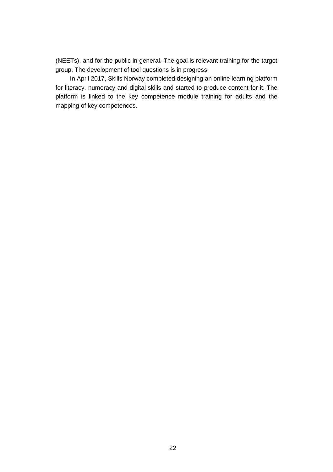(NEETs), and for the public in general. The goal is relevant training for the target group. The development of tool questions is in progress.

In April 2017, Skills Norway completed designing an online learning platform for literacy, numeracy and digital skills and started to produce content for it. The platform is linked to the key competence module training for adults and the mapping of key competences.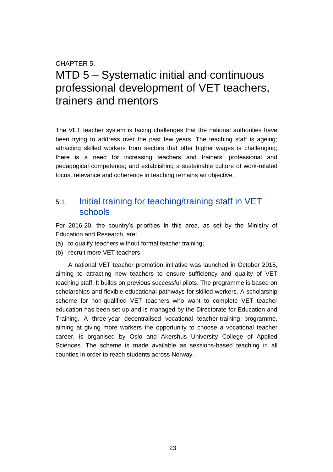## <span id="page-23-0"></span>CHAPTER 5. MTD 5 – Systematic initial and continuous professional development of VET teachers, trainers and mentors

The VET teacher system is facing challenges that the national authorities have been trying to address over the past few years. The teaching staff is ageing; attracting skilled workers from sectors that offer higher wages is challenging; there is a need for increasing teachers and trainers' professional and pedagogical competence; and establishing a sustainable culture of work-related focus, relevance and coherence in teaching remains an objective.

## <span id="page-23-1"></span>5.1. Initial training for teaching/training staff in VET schools

For 2016-20, the country's priorities in this area, as set by the Ministry of Education and Research, are:

- (a) to qualify teachers without formal teacher training;
- (b) recruit more VET teachers.

A national VET teacher promotion initiative was launched in October 2015, aiming to attracting new teachers to ensure sufficiency and quality of VET teaching staff. It builds on previous successful pilots. The programme is based on scholarships and flexible educational pathways for skilled workers. A scholarship scheme for non-qualified VET teachers who want to complete VET teacher education has been set up and is managed by the Directorate for Education and Training. A three-year decentralised vocational teacher-training programme, aiming at giving more workers the opportunity to choose a vocational teacher career, is organised by Oslo and Akershus University College of Applied Sciences. The scheme is made available as sessions-based teaching in all counties in order to reach students across Norway.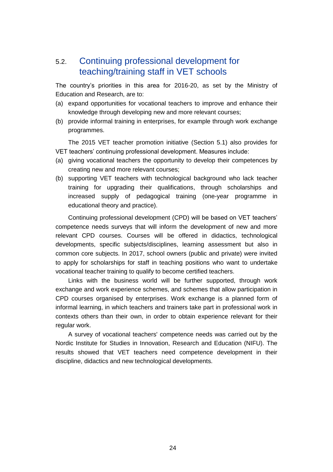## <span id="page-24-0"></span>5.2. Continuing professional development for teaching/training staff in VET schools

The country's priorities in this area for 2016-20, as set by the Ministry of Education and Research, are to:

- (a) expand opportunities for vocational teachers to improve and enhance their knowledge through developing new and more relevant courses;
- (b) provide informal training in enterprises, for example through work exchange programmes.

The 2015 VET teacher promotion initiative (Section 5.1) also provides for VET teachers' continuing professional development. Measures include:

- (a) giving vocational teachers the opportunity to develop their competences by creating new and more relevant courses;
- (b) supporting VET teachers with technological background who lack teacher training for upgrading their qualifications, through scholarships and increased supply of pedagogical training (one-year programme in educational theory and practice).

Continuing professional development (CPD) will be based on VET teachers' competence needs surveys that will inform the development of new and more relevant CPD courses. Courses will be offered in didactics, technological developments, specific subjects/disciplines, learning assessment but also in common core subjects. In 2017, school owners (public and private) were invited to apply for scholarships for staff in teaching positions who want to undertake vocational teacher training to qualify to become certified teachers.

Links with the business world will be further supported, through work exchange and work experience schemes, and schemes that allow participation in CPD courses organised by enterprises. Work exchange is a planned form of informal learning, in which teachers and trainers take part in professional work in contexts others than their own, in order to obtain experience relevant for their regular work.

A survey of vocational teachers' competence needs was carried out by the Nordic Institute for Studies in Innovation, Research and Education (NIFU). The results showed that VET teachers need competence development in their discipline, didactics and new technological developments.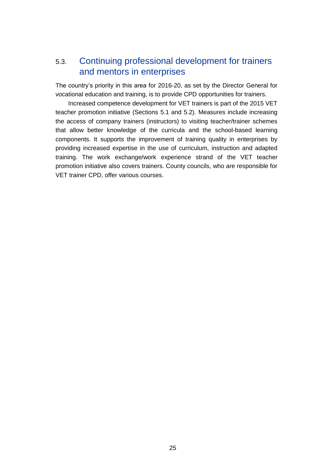## <span id="page-25-0"></span>5.3. Continuing professional development for trainers and mentors in enterprises

The country's priority in this area for 2016-20, as set by the Director General for vocational education and training, is to provide CPD opportunities for trainers.

Increased competence development for VET trainers is part of the 2015 VET teacher promotion initiative (Sections 5.1 and 5.2). Measures include increasing the access of company trainers (instructors) to visiting teacher/trainer schemes that allow better knowledge of the curricula and the school-based learning components. It supports the improvement of training quality in enterprises by providing increased expertise in the use of curriculum, instruction and adapted training. The work exchange/work experience strand of the VET teacher promotion initiative also covers trainers. County councils, who are responsible for VET trainer CPD, offer various courses.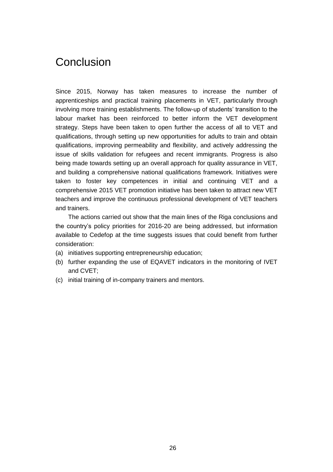## <span id="page-26-0"></span>**Conclusion**

Since 2015, Norway has taken measures to increase the number of apprenticeships and practical training placements in VET, particularly through involving more training establishments. The follow-up of students' transition to the labour market has been reinforced to better inform the VET development strategy. Steps have been taken to open further the access of all to VET and qualifications, through setting up new opportunities for adults to train and obtain qualifications, improving permeability and flexibility, and actively addressing the issue of skills validation for refugees and recent immigrants. Progress is also being made towards setting up an overall approach for quality assurance in VET, and building a comprehensive national qualifications framework. Initiatives were taken to foster key competences in initial and continuing VET and a comprehensive 2015 VET promotion initiative has been taken to attract new VET teachers and improve the continuous professional development of VET teachers and trainers.

The actions carried out show that the main lines of the Riga conclusions and the country's policy priorities for 2016-20 are being addressed, but information available to Cedefop at the time suggests issues that could benefit from further consideration:

- (a) initiatives supporting entrepreneurship education;
- (b) further expanding the use of EQAVET indicators in the monitoring of IVET and CVET;
- (c) initial training of in-company trainers and mentors.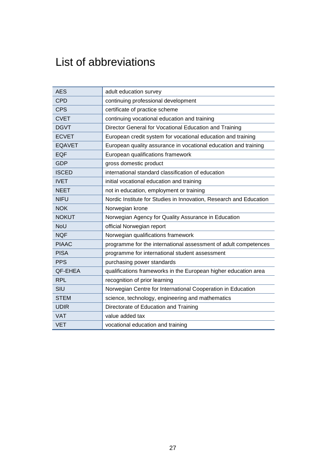# <span id="page-27-0"></span>List of abbreviations

| <b>AES</b>    | adult education survey                                             |
|---------------|--------------------------------------------------------------------|
| <b>CPD</b>    | continuing professional development                                |
| <b>CPS</b>    | certificate of practice scheme                                     |
| <b>CVET</b>   | continuing vocational education and training                       |
| <b>DGVT</b>   | Director General for Vocational Education and Training             |
| <b>ECVET</b>  | European credit system for vocational education and training       |
| <b>EQAVET</b> | European quality assurance in vocational education and training    |
| <b>EQF</b>    | European qualifications framework                                  |
| <b>GDP</b>    | gross domestic product                                             |
| <b>ISCED</b>  | international standard classification of education                 |
| <b>IVET</b>   | initial vocational education and training                          |
| <b>NEET</b>   | not in education, employment or training                           |
| <b>NIFU</b>   | Nordic Institute for Studies in Innovation, Research and Education |
| <b>NOK</b>    | Norwegian krone                                                    |
| <b>NOKUT</b>  | Norwegian Agency for Quality Assurance in Education                |
| NoU           | official Norwegian report                                          |
| <b>NQF</b>    | Norwegian qualifications framework                                 |
| <b>PIAAC</b>  | programme for the international assessment of adult competences    |
| <b>PISA</b>   | programme for international student assessment                     |
| <b>PPS</b>    | purchasing power standards                                         |
| QF-EHEA       | qualifications frameworks in the European higher education area    |
| <b>RPL</b>    | recognition of prior learning                                      |
| SIU           | Norwegian Centre for International Cooperation in Education        |
| <b>STEM</b>   | science, technology, engineering and mathematics                   |
| <b>UDIR</b>   | Directorate of Education and Training                              |
| <b>VAT</b>    | value added tax                                                    |
| <b>VET</b>    | vocational education and training                                  |